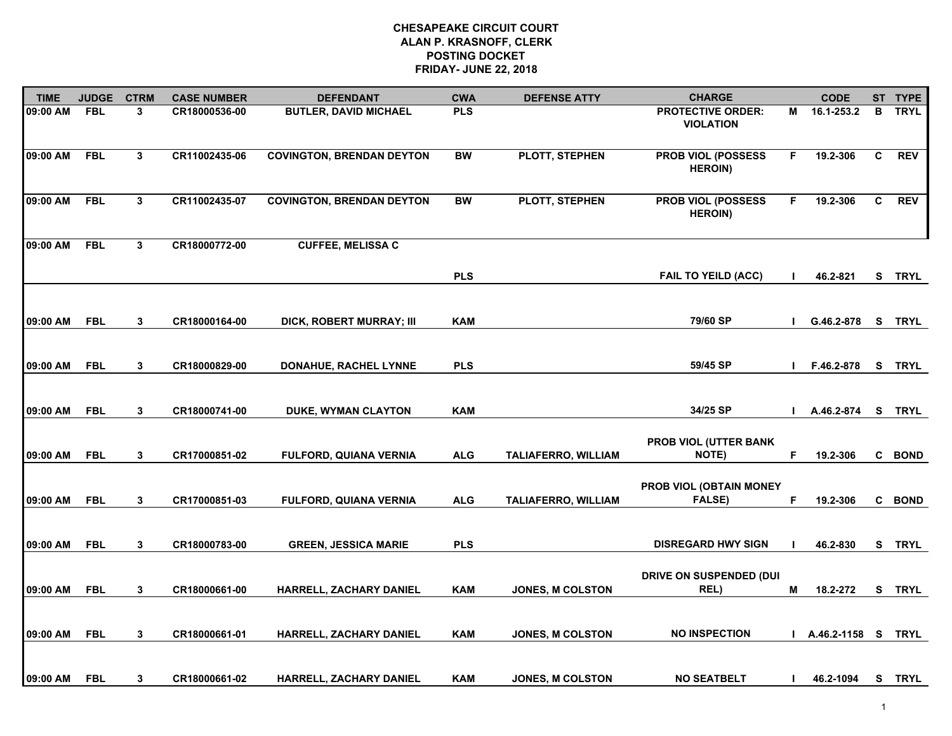| <b>TIME</b> | <b>JUDGE</b> | <b>CTRM</b>  | <b>CASE NUMBER</b> | <b>DEFENDANT</b>                 | <b>CWA</b> | <b>DEFENSE ATTY</b>        | <b>CHARGE</b>                                |                | <b>CODE</b>   |    | ST TYPE     |
|-------------|--------------|--------------|--------------------|----------------------------------|------------|----------------------------|----------------------------------------------|----------------|---------------|----|-------------|
| 09:00 AM    | <b>FBL</b>   | 3            | CR18000536-00      | <b>BUTLER, DAVID MICHAEL</b>     | <b>PLS</b> |                            | <b>PROTECTIVE ORDER:</b><br><b>VIOLATION</b> | М              | 16.1-253.2    | в  | <b>TRYL</b> |
| 09:00 AM    | <b>FBL</b>   | $\mathbf{3}$ | CR11002435-06      | <b>COVINGTON, BRENDAN DEYTON</b> | <b>BW</b>  | PLOTT, STEPHEN             | <b>PROB VIOL (POSSESS</b><br><b>HEROIN)</b>  | F              | 19.2-306      | C  | <b>REV</b>  |
| 09:00 AM    | <b>FBL</b>   | $\mathbf{3}$ | CR11002435-07      | <b>COVINGTON, BRENDAN DEYTON</b> | <b>BW</b>  | PLOTT, STEPHEN             | PROB VIOL (POSSESS<br><b>HEROIN)</b>         | F              | 19.2-306      | C  | <b>REV</b>  |
| 09:00 AM    | <b>FBL</b>   | 3            | CR18000772-00      | <b>CUFFEE, MELISSA C</b>         |            |                            |                                              |                |               |    |             |
|             |              |              |                    |                                  | <b>PLS</b> |                            | <b>FAIL TO YEILD (ACC)</b>                   | $\blacksquare$ | 46.2-821      |    | S TRYL      |
| 09:00 AM    | <b>FBL</b>   | 3            | CR18000164-00      | DICK, ROBERT MURRAY; III         | <b>KAM</b> |                            | 79/60 SP                                     | <sup>1</sup>   | G.46.2-878    |    | S TRYL      |
| 09:00 AM    | <b>FBL</b>   | $\mathbf{3}$ | CR18000829-00      | DONAHUE, RACHEL LYNNE            | <b>PLS</b> |                            | 59/45 SP                                     | J.             | F.46.2-878    | S. | <b>TRYL</b> |
| 09:00 AM    | <b>FBL</b>   | 3            | CR18000741-00      | DUKE, WYMAN CLAYTON              | <b>KAM</b> |                            | 34/25 SP                                     |                | A.46.2-874    |    | S TRYL      |
| 09:00 AM    | <b>FBL</b>   | 3            | CR17000851-02      | <b>FULFORD, QUIANA VERNIA</b>    | <b>ALG</b> | <b>TALIAFERRO, WILLIAM</b> | PROB VIOL (UTTER BANK<br><b>NOTE)</b>        | F              | 19.2-306      |    | C BOND      |
| 09:00 AM    | <b>FBL</b>   | 3            | CR17000851-03      | <b>FULFORD, QUIANA VERNIA</b>    | <b>ALG</b> | <b>TALIAFERRO, WILLIAM</b> | PROB VIOL (OBTAIN MONEY<br><b>FALSE)</b>     | F              | 19.2-306      |    | C BOND      |
| 09:00 AM    | <b>FBL</b>   | 3            | CR18000783-00      | <b>GREEN, JESSICA MARIE</b>      | <b>PLS</b> |                            | <b>DISREGARD HWY SIGN</b>                    |                | 46.2-830      |    | S TRYL      |
| 09:00 AM    | <b>FBL</b>   | 3            | CR18000661-00      | HARRELL, ZACHARY DANIEL          | <b>KAM</b> | JONES, M COLSTON           | DRIVE ON SUSPENDED (DUI<br>REL)              | М              | 18.2-272      |    | S TRYL      |
| 09:00 AM    | <b>FBL</b>   | 3            | CR18000661-01      | <b>HARRELL, ZACHARY DANIEL</b>   | <b>KAM</b> | <b>JONES, M COLSTON</b>    | <b>NO INSPECTION</b>                         | ш              | A.46.2-1158 S |    | <b>TRYL</b> |
| 09:00 AM    | <b>FBL</b>   | 3            | CR18000661-02      | HARRELL, ZACHARY DANIEL          | KAM        | <b>JONES, M COLSTON</b>    | <b>NO SEATBELT</b>                           | $\mathbf{I}$   | 46.2-1094     |    | S TRYL      |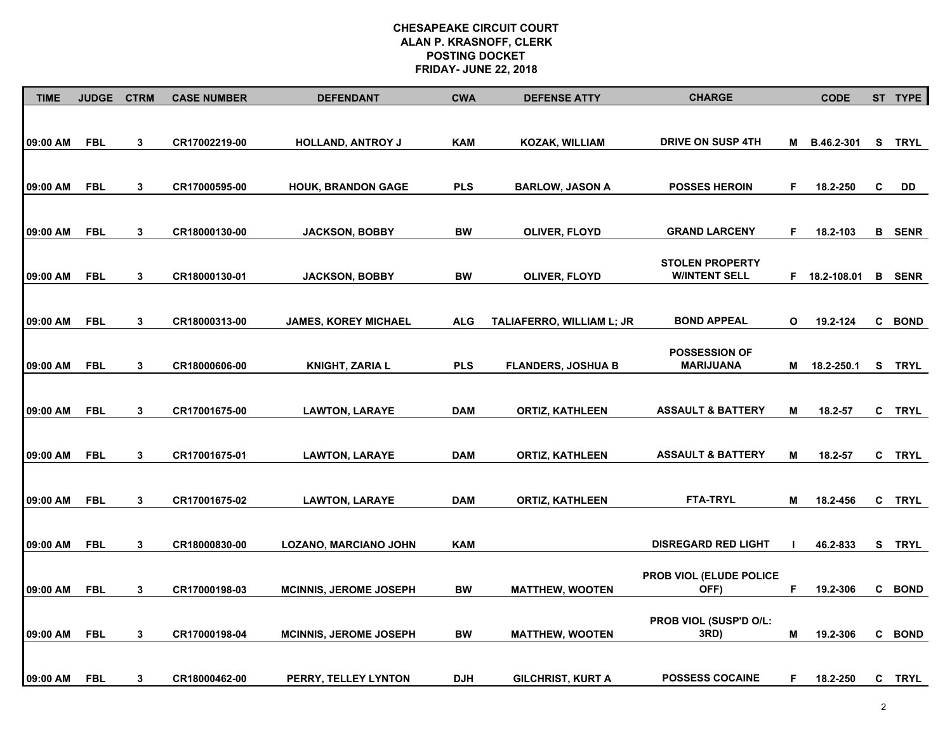| <b>TIME</b> | <b>JUDGE</b> | <b>CTRM</b>  | <b>CASE NUMBER</b> | <b>DEFENDANT</b>              | <b>CWA</b> | <b>DEFENSE ATTY</b>       | <b>CHARGE</b>                  |              | <b>CODE</b>   |   | ST TYPE       |
|-------------|--------------|--------------|--------------------|-------------------------------|------------|---------------------------|--------------------------------|--------------|---------------|---|---------------|
|             |              |              |                    |                               |            |                           |                                |              |               |   |               |
| 09:00 AM    | <b>FBL</b>   | $\mathbf{3}$ | CR17002219-00      | <b>HOLLAND, ANTROY J</b>      | <b>KAM</b> | KOZAK, WILLIAM            | <b>DRIVE ON SUSP 4TH</b>       | M            | B.46.2-301    | s | <b>TRYL</b>   |
|             |              |              |                    |                               |            |                           |                                |              |               |   |               |
|             |              |              |                    |                               |            |                           |                                |              |               |   |               |
| 09:00 AM    | <b>FBL</b>   | $\mathbf{3}$ | CR17000595-00      | <b>HOUK, BRANDON GAGE</b>     | <b>PLS</b> | <b>BARLOW, JASON A</b>    | <b>POSSES HEROIN</b>           | F            | 18.2-250      | C | DD            |
|             |              |              |                    |                               |            |                           |                                |              |               |   |               |
| 09:00 AM    | <b>FBL</b>   | 3            | CR18000130-00      | <b>JACKSON, BOBBY</b>         | <b>BW</b>  | OLIVER, FLOYD             | <b>GRAND LARCENY</b>           | F            | 18.2-103      |   | <b>B</b> SENR |
|             |              |              |                    |                               |            |                           |                                |              |               |   |               |
|             |              |              |                    |                               |            |                           | <b>STOLEN PROPERTY</b>         |              |               |   |               |
| 09:00 AM    | <b>FBL</b>   | $\mathbf{3}$ | CR18000130-01      | <b>JACKSON, BOBBY</b>         | BW         | OLIVER, FLOYD             | <b>WINTENT SELL</b>            |              | F 18.2-108.01 |   | <b>B</b> SENR |
|             |              |              |                    |                               |            |                           |                                |              |               |   |               |
| 09:00 AM    | <b>FBL</b>   | 3            | CR18000313-00      | <b>JAMES, KOREY MICHAEL</b>   | <b>ALG</b> | TALIAFERRO, WILLIAM L; JR | <b>BOND APPEAL</b>             | $\mathbf{o}$ | 19.2-124      |   | C BOND        |
|             |              |              |                    |                               |            |                           |                                |              |               |   |               |
|             |              |              |                    |                               |            |                           | <b>POSSESSION OF</b>           |              |               |   |               |
| 09:00 AM    | <b>FBL</b>   | $\mathbf{3}$ | CR18000606-00      | <b>KNIGHT, ZARIA L</b>        | <b>PLS</b> | <b>FLANDERS, JOSHUA B</b> | <b>MARIJUANA</b>               | M            | 18.2-250.1    | S | <b>TRYL</b>   |
|             |              |              |                    |                               |            |                           |                                |              |               |   |               |
| 09:00 AM    | <b>FBL</b>   | 3            | CR17001675-00      | <b>LAWTON, LARAYE</b>         | <b>DAM</b> | <b>ORTIZ, KATHLEEN</b>    | <b>ASSAULT &amp; BATTERY</b>   | M            | 18.2-57       | C | <b>TRYL</b>   |
|             |              |              |                    |                               |            |                           |                                |              |               |   |               |
|             |              |              |                    |                               |            |                           |                                |              |               |   |               |
| 09:00 AM    | <b>FBL</b>   | 3            | CR17001675-01      | <b>LAWTON, LARAYE</b>         | <b>DAM</b> | <b>ORTIZ, KATHLEEN</b>    | <b>ASSAULT &amp; BATTERY</b>   | M            | 18.2-57       | C | <b>TRYL</b>   |
|             |              |              |                    |                               |            |                           |                                |              |               |   |               |
| 09:00 AM    | <b>FBL</b>   | 3            | CR17001675-02      | <b>LAWTON, LARAYE</b>         | <b>DAM</b> | <b>ORTIZ, KATHLEEN</b>    | <b>FTA-TRYL</b>                | M            | 18.2-456      |   | C TRYL        |
|             |              |              |                    |                               |            |                           |                                |              |               |   |               |
| 09:00 AM    | <b>FBL</b>   | $\mathbf{3}$ | CR18000830-00      | <b>LOZANO, MARCIANO JOHN</b>  | <b>KAM</b> |                           | <b>DISREGARD RED LIGHT</b>     |              | 46.2-833      |   | S TRYL        |
|             |              |              |                    |                               |            |                           |                                |              |               |   |               |
|             |              |              |                    |                               |            |                           | PROB VIOL (ELUDE POLICE        |              |               |   |               |
| 09:00 AM    | <b>FBL</b>   | $\mathbf{3}$ | CR17000198-03      | <b>MCINNIS, JEROME JOSEPH</b> | <b>BW</b>  | <b>MATTHEW, WOOTEN</b>    | OFF)                           | F            | 19.2-306      |   | C BOND        |
|             |              |              |                    |                               |            |                           |                                |              |               |   |               |
| 09:00 AM    | <b>FBL</b>   | 3            | CR17000198-04      | <b>MCINNIS, JEROME JOSEPH</b> | BW         | <b>MATTHEW, WOOTEN</b>    | PROB VIOL (SUSP'D O/L:<br>3RD) | M            | 19.2-306      |   | C BOND        |
|             |              |              |                    |                               |            |                           |                                |              |               |   |               |
|             |              |              |                    |                               |            |                           |                                |              |               |   |               |
| 09:00 AM    | <b>FBL</b>   | 3            | CR18000462-00      | PERRY, TELLEY LYNTON          | <b>DJH</b> | <b>GILCHRIST, KURT A</b>  | <b>POSSESS COCAINE</b>         | F            | 18.2-250      | C | <b>TRYL</b>   |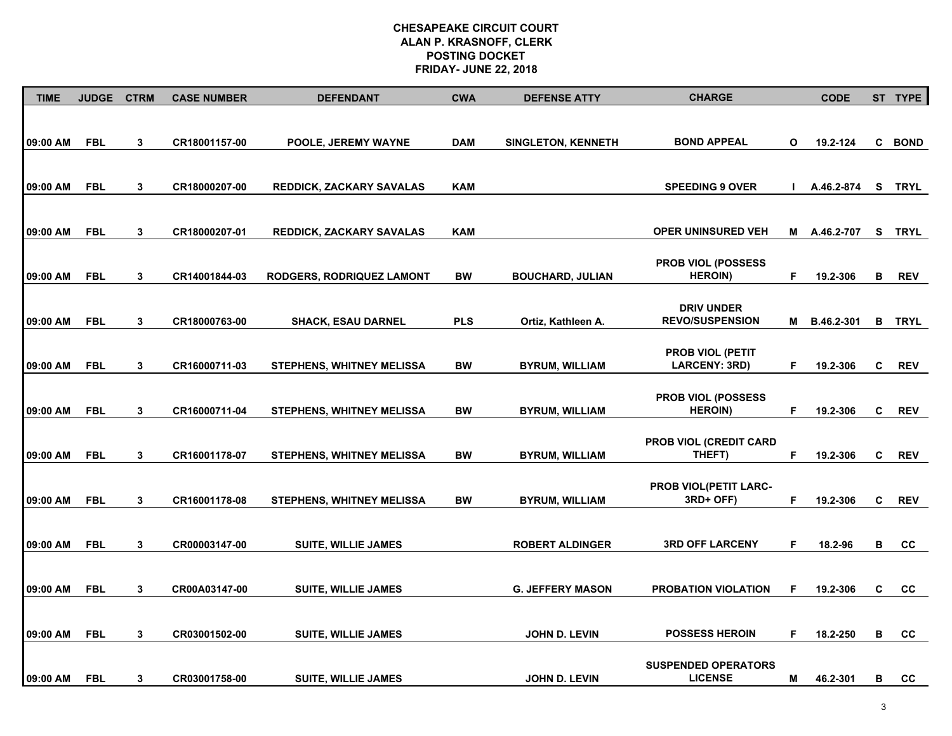| <b>TIME</b> | <b>JUDGE</b> | <b>CTRM</b> | <b>CASE NUMBER</b> | <b>DEFENDANT</b>                 | <b>CWA</b> | <b>DEFENSE ATTY</b>       | <b>CHARGE</b>                                |              | <b>CODE</b>  |              | ST TYPE     |
|-------------|--------------|-------------|--------------------|----------------------------------|------------|---------------------------|----------------------------------------------|--------------|--------------|--------------|-------------|
| 09:00 AM    | <b>FBL</b>   | 3           | CR18001157-00      | POOLE, JEREMY WAYNE              | <b>DAM</b> | <b>SINGLETON, KENNETH</b> | <b>BOND APPEAL</b>                           | O            | 19.2-124     |              | C BOND      |
|             |              |             |                    |                                  |            |                           |                                              |              |              |              |             |
| 09:00 AM    | <b>FBL</b>   | 3           | CR18000207-00      | <b>REDDICK, ZACKARY SAVALAS</b>  | <b>KAM</b> |                           | <b>SPEEDING 9 OVER</b>                       | $\mathbf{I}$ | A.46.2-874   |              | S TRYL      |
| 09:00 AM    | <b>FBL</b>   | 3           | CR18000207-01      | <b>REDDICK, ZACKARY SAVALAS</b>  | <b>KAM</b> |                           | <b>OPER UNINSURED VEH</b>                    |              | M A.46.2-707 | S.           | <b>TRYL</b> |
|             |              |             |                    |                                  |            |                           |                                              |              |              |              |             |
| 09:00 AM    | <b>FBL</b>   | 3           | CR14001844-03      | <b>RODGERS, RODRIQUEZ LAMONT</b> | BW         | <b>BOUCHARD, JULIAN</b>   | <b>PROB VIOL (POSSESS</b><br><b>HEROIN)</b>  | F.           | 19.2-306     | В            | <b>REV</b>  |
|             |              |             |                    |                                  |            |                           | <b>DRIV UNDER</b>                            |              |              |              |             |
| 09:00 AM    | <b>FBL</b>   | 3           | CR18000763-00      | <b>SHACK, ESAU DARNEL</b>        | <b>PLS</b> | Ortiz, Kathleen A.        | <b>REVO/SUSPENSION</b>                       | Μ            | B.46.2-301   | В            | <b>TRYL</b> |
| 09:00 AM    | <b>FBL</b>   | 3           | CR16000711-03      | <b>STEPHENS, WHITNEY MELISSA</b> | <b>BW</b>  | <b>BYRUM, WILLIAM</b>     | <b>PROB VIOL (PETIT</b><br>LARCENY: 3RD)     | F.           | 19.2-306     | $\mathbf{C}$ | <b>REV</b>  |
|             |              |             |                    |                                  |            |                           | <b>PROB VIOL (POSSESS</b>                    |              |              |              |             |
| 09:00 AM    | <b>FBL</b>   | 3           | CR16000711-04      | <b>STEPHENS, WHITNEY MELISSA</b> | <b>BW</b>  | <b>BYRUM, WILLIAM</b>     | <b>HEROIN)</b>                               | F.           | 19.2-306     | C            | <b>REV</b>  |
| 09:00 AM    | <b>FBL</b>   | 3           | CR16001178-07      | <b>STEPHENS, WHITNEY MELISSA</b> | <b>BW</b>  | <b>BYRUM, WILLIAM</b>     | <b>PROB VIOL (CREDIT CARD</b><br>THEFT)      | F.           | 19.2-306     | C            | <b>REV</b>  |
|             |              |             |                    |                                  |            |                           | PROB VIOL(PETIT LARC-                        |              |              |              |             |
| 09:00 AM    | <b>FBL</b>   | 3           | CR16001178-08      | <b>STEPHENS, WHITNEY MELISSA</b> | BW         | <b>BYRUM, WILLIAM</b>     | 3RD+ OFF)                                    | F            | 19.2-306     | C            | <b>REV</b>  |
| 09:00 AM    | <b>FBL</b>   | 3           | CR00003147-00      | <b>SUITE, WILLIE JAMES</b>       |            | <b>ROBERT ALDINGER</b>    | <b>3RD OFF LARCENY</b>                       | F            | 18.2-96      | в            | CС          |
| 09:00 AM    | <b>FBL</b>   | 3           | CR00A03147-00      | <b>SUITE, WILLIE JAMES</b>       |            | <b>G. JEFFERY MASON</b>   | PROBATION VIOLATION                          | F            | 19.2-306     | C            | CC          |
|             |              |             |                    |                                  |            |                           | <b>POSSESS HEROIN</b>                        | F            |              |              |             |
| 09:00 AM    | <b>FBL</b>   | 3           | CR03001502-00      | <b>SUITE, WILLIE JAMES</b>       |            | <b>JOHN D. LEVIN</b>      |                                              |              | 18.2-250     | в            | cc          |
| 09:00 AM    | <b>FBL</b>   | 3           | CR03001758-00      | <b>SUITE, WILLIE JAMES</b>       |            | <b>JOHN D. LEVIN</b>      | <b>SUSPENDED OPERATORS</b><br><b>LICENSE</b> | Μ            | 46.2-301     | B            | <b>CC</b>   |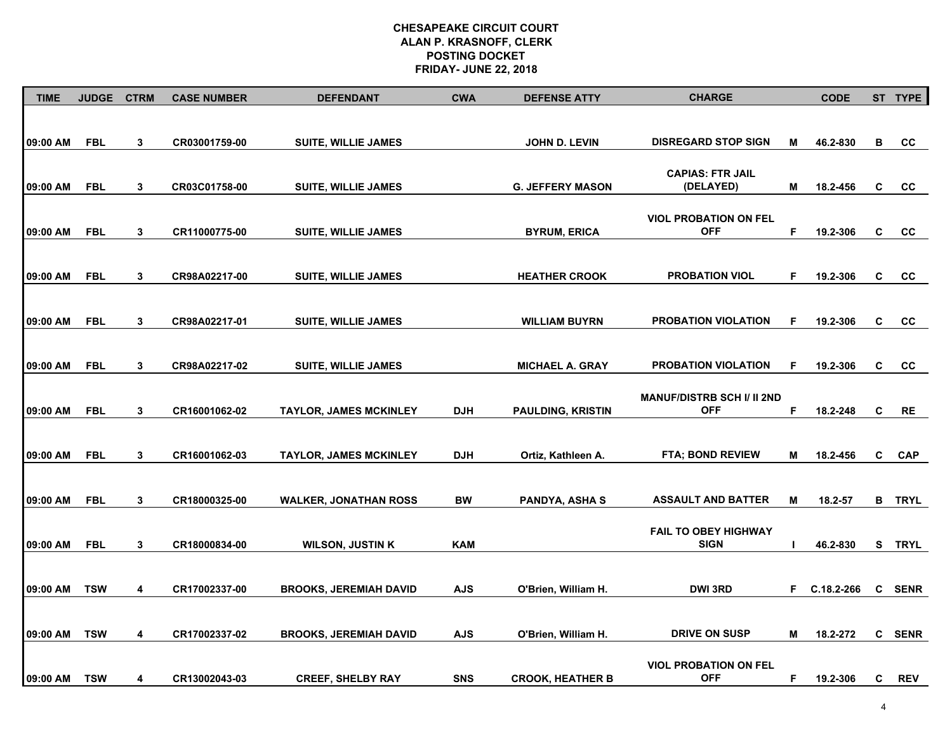| <b>TIME</b> | <b>JUDGE</b> | <b>CTRM</b>  | <b>CASE NUMBER</b> | <b>DEFENDANT</b>              | <b>CWA</b> | <b>DEFENSE ATTY</b>      | <b>CHARGE</b>                              |    | <b>CODE</b>  |   | ST TYPE       |
|-------------|--------------|--------------|--------------------|-------------------------------|------------|--------------------------|--------------------------------------------|----|--------------|---|---------------|
|             |              |              |                    |                               |            |                          |                                            |    |              |   |               |
| 09:00 AM    | <b>FBL</b>   | 3            | CR03001759-00      | <b>SUITE, WILLIE JAMES</b>    |            | JOHN D. LEVIN            | <b>DISREGARD STOP SIGN</b>                 | M  | 46.2-830     | В | CC            |
|             |              |              |                    |                               |            |                          |                                            |    |              |   |               |
| 09:00 AM    | <b>FBL</b>   | 3            | CR03C01758-00      | <b>SUITE, WILLIE JAMES</b>    |            | <b>G. JEFFERY MASON</b>  | <b>CAPIAS: FTR JAIL</b><br>(DELAYED)       | М  | 18.2-456     | C | <b>CC</b>     |
|             |              |              |                    |                               |            |                          |                                            |    |              |   |               |
| 09:00 AM    | <b>FBL</b>   | 3            | CR11000775-00      | <b>SUITE, WILLIE JAMES</b>    |            | <b>BYRUM, ERICA</b>      | <b>VIOL PROBATION ON FEL</b><br><b>OFF</b> | F  | 19.2-306     | C | cc            |
|             |              |              |                    |                               |            |                          |                                            |    |              |   |               |
|             |              |              |                    |                               |            |                          |                                            |    |              |   |               |
| 09:00 AM    | <b>FBL</b>   | 3            | CR98A02217-00      | <b>SUITE, WILLIE JAMES</b>    |            | <b>HEATHER CROOK</b>     | <b>PROBATION VIOL</b>                      | F. | 19.2-306     | C | CC            |
|             |              |              |                    |                               |            |                          |                                            |    |              |   |               |
| 09:00 AM    | <b>FBL</b>   | $\mathbf{3}$ | CR98A02217-01      | <b>SUITE, WILLIE JAMES</b>    |            | <b>WILLIAM BUYRN</b>     | PROBATION VIOLATION                        | F  | 19.2-306     | C | cc            |
|             |              |              |                    |                               |            |                          |                                            |    |              |   |               |
| 09:00 AM    | <b>FBL</b>   | 3            | CR98A02217-02      | <b>SUITE, WILLIE JAMES</b>    |            | <b>MICHAEL A. GRAY</b>   | <b>PROBATION VIOLATION</b>                 | F  | 19.2-306     | C | cc            |
|             |              |              |                    |                               |            |                          | <b>MANUF/DISTRB SCH I/ II 2ND</b>          |    |              |   |               |
| 09:00 AM    | <b>FBL</b>   | 3            | CR16001062-02      | <b>TAYLOR, JAMES MCKINLEY</b> | <b>DJH</b> | <b>PAULDING, KRISTIN</b> | <b>OFF</b>                                 | F  | 18.2-248     | C | <b>RE</b>     |
|             |              |              |                    |                               |            |                          |                                            |    |              |   |               |
| 09:00 AM    | <b>FBL</b>   | 3            | CR16001062-03      | <b>TAYLOR, JAMES MCKINLEY</b> | <b>DJH</b> | Ortiz, Kathleen A.       | <b>FTA: BOND REVIEW</b>                    | Μ  | 18.2-456     | C | <b>CAP</b>    |
|             |              |              |                    |                               |            |                          |                                            |    |              |   |               |
| 09:00 AM    | <b>FBL</b>   | 3            | CR18000325-00      | <b>WALKER, JONATHAN ROSS</b>  | BW         | <b>PANDYA, ASHA S</b>    | <b>ASSAULT AND BATTER</b>                  | M  | 18.2-57      |   | <b>B</b> TRYL |
|             |              |              |                    |                               |            |                          |                                            |    |              |   |               |
| 09:00 AM    | <b>FBL</b>   | 3            | CR18000834-00      | <b>WILSON, JUSTIN K</b>       | <b>KAM</b> |                          | <b>FAIL TO OBEY HIGHWAY</b><br><b>SIGN</b> |    | 46.2-830     |   | S TRYL        |
|             |              |              |                    |                               |            |                          |                                            |    |              |   |               |
| 09:00 AM    | <b>TSW</b>   | 4            | CR17002337-00      | <b>BROOKS, JEREMIAH DAVID</b> | <b>AJS</b> | O'Brien, William H.      | <b>DWI 3RD</b>                             |    | F C.18.2-266 |   | C SENR        |
|             |              |              |                    |                               |            |                          |                                            |    |              |   |               |
|             |              |              |                    |                               |            |                          |                                            |    |              |   |               |
| 09:00 AM    | <b>TSW</b>   | 4            | CR17002337-02      | <b>BROOKS, JEREMIAH DAVID</b> | <b>AJS</b> | O'Brien, William H.      | <b>DRIVE ON SUSP</b>                       | М  | 18.2-272     |   | C SENR        |
|             |              |              |                    |                               |            |                          | <b>VIOL PROBATION ON FEL</b>               |    |              |   |               |
| 09:00 AM    | <b>TSW</b>   | 4            | CR13002043-03      | <b>CREEF, SHELBY RAY</b>      | <b>SNS</b> | <b>CROOK, HEATHER B</b>  | <b>OFF</b>                                 | F. | 19.2-306     | C | <b>REV</b>    |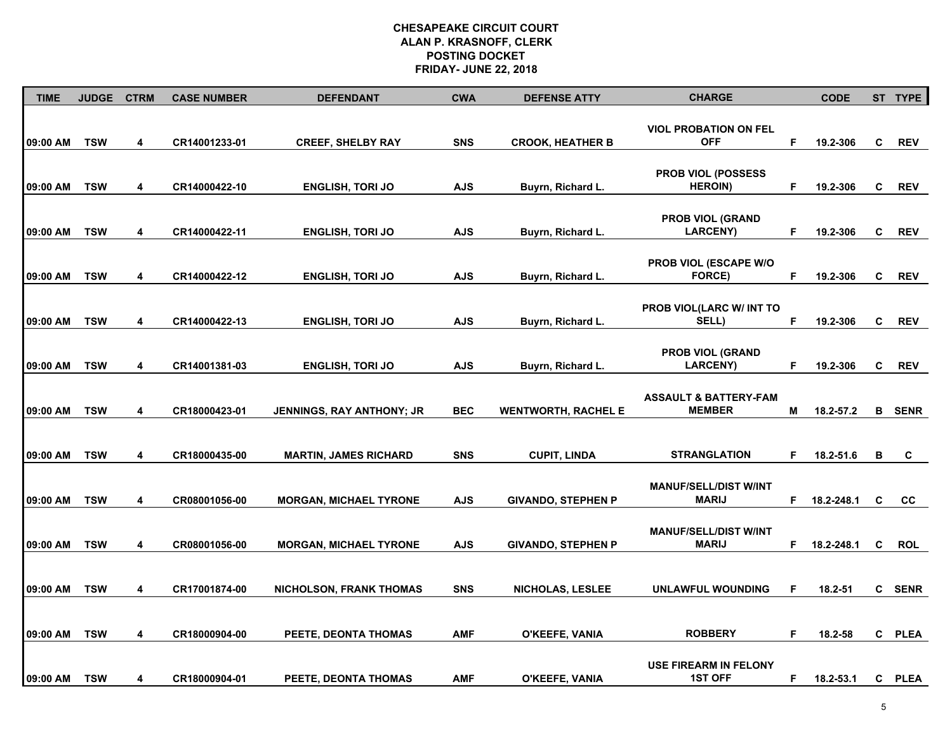| <b>TIME</b> | <b>JUDGE</b> | <b>CTRM</b>             | <b>CASE NUMBER</b> | <b>DEFENDANT</b>                 | <b>CWA</b> | <b>DEFENSE ATTY</b>        | <b>CHARGE</b>                                     |    | <b>CODE</b> |    | ST TYPE       |
|-------------|--------------|-------------------------|--------------------|----------------------------------|------------|----------------------------|---------------------------------------------------|----|-------------|----|---------------|
| 09:00 AM    | <b>TSW</b>   | $\overline{\mathbf{4}}$ | CR14001233-01      | <b>CREEF, SHELBY RAY</b>         | <b>SNS</b> | <b>CROOK, HEATHER B</b>    | <b>VIOL PROBATION ON FEL</b><br><b>OFF</b>        | F  | 19.2-306    | C  | <b>REV</b>    |
| 09:00 AM    | <b>TSW</b>   | 4                       | CR14000422-10      | <b>ENGLISH, TORI JO</b>          | <b>AJS</b> | Buyrn, Richard L.          | PROB VIOL (POSSESS<br><b>HEROIN</b> )             | F  | 19.2-306    | C  | <b>REV</b>    |
| 09:00 AM    | <b>TSW</b>   | 4                       | CR14000422-11      | <b>ENGLISH, TORI JO</b>          | <b>AJS</b> | Buyrn, Richard L.          | <b>PROB VIOL (GRAND</b><br><b>LARCENY)</b>        | F  | 19.2-306    | C  | <b>REV</b>    |
| 09:00 AM    | <b>TSW</b>   | 4                       | CR14000422-12      | <b>ENGLISH, TORI JO</b>          | <b>AJS</b> | Buyrn, Richard L.          | PROB VIOL (ESCAPE W/O<br>FORCE)                   | F. | 19.2-306    | C. | <b>REV</b>    |
| 09:00 AM    | <b>TSW</b>   | 4                       | CR14000422-13      | <b>ENGLISH, TORI JO</b>          | <b>AJS</b> | Buyrn, Richard L.          | <b>PROB VIOL(LARC W/ INT TO</b><br>SELL)          | F  | 19.2-306    | C  | <b>REV</b>    |
| 09:00 AM    | <b>TSW</b>   | 4                       | CR14001381-03      | <b>ENGLISH, TORI JO</b>          | <b>AJS</b> | Buyrn, Richard L.          | <b>PROB VIOL (GRAND</b><br><b>LARCENY)</b>        | F  | 19.2-306    | C  | <b>REV</b>    |
| 09:00 AM    | <b>TSW</b>   | 4                       | CR18000423-01      | <b>JENNINGS, RAY ANTHONY; JR</b> | <b>BEC</b> | <b>WENTWORTH, RACHEL E</b> | <b>ASSAULT &amp; BATTERY-FAM</b><br><b>MEMBER</b> | М  | 18.2-57.2   |    | <b>B</b> SENR |
| 09:00 AM    | <b>TSW</b>   | 4                       | CR18000435-00      | <b>MARTIN, JAMES RICHARD</b>     | <b>SNS</b> | <b>CUPIT, LINDA</b>        | <b>STRANGLATION</b>                               | F. | 18.2-51.6   | в  | C             |
| 09:00 AM    | <b>TSW</b>   | 4                       | CR08001056-00      | <b>MORGAN, MICHAEL TYRONE</b>    | <b>AJS</b> | <b>GIVANDO, STEPHEN P</b>  | <b>MANUF/SELL/DIST W/INT</b><br><b>MARIJ</b>      | F. | 18.2-248.1  | C  | cc            |
| 09:00 AM    | <b>TSW</b>   | 4                       | CR08001056-00      | <b>MORGAN, MICHAEL TYRONE</b>    | <b>AJS</b> | <b>GIVANDO, STEPHEN P</b>  | <b>MANUF/SELL/DIST W/INT</b><br><b>MARIJ</b>      | F  | 18.2-248.1  | C  | <b>ROL</b>    |
| 09:00 AM    | <b>TSW</b>   | 4                       | CR17001874-00      | <b>NICHOLSON, FRANK THOMAS</b>   | <b>SNS</b> | <b>NICHOLAS, LESLEE</b>    | <b>UNLAWFUL WOUNDING</b>                          | F  | 18.2-51     |    | C SENR        |
| 09:00 AM    | <b>TSW</b>   | 4                       | CR18000904-00      | PEETE, DEONTA THOMAS             | <b>AMF</b> | O'KEEFE, VANIA             | <b>ROBBERY</b>                                    | F  | 18.2-58     |    | C PLEA        |
| 09:00 AM    | <b>TSW</b>   | 4                       | CR18000904-01      | PEETE, DEONTA THOMAS             | <b>AMF</b> | O'KEEFE, VANIA             | <b>USE FIREARM IN FELONY</b><br><b>1ST OFF</b>    | F. | 18.2-53.1   |    | C PLEA        |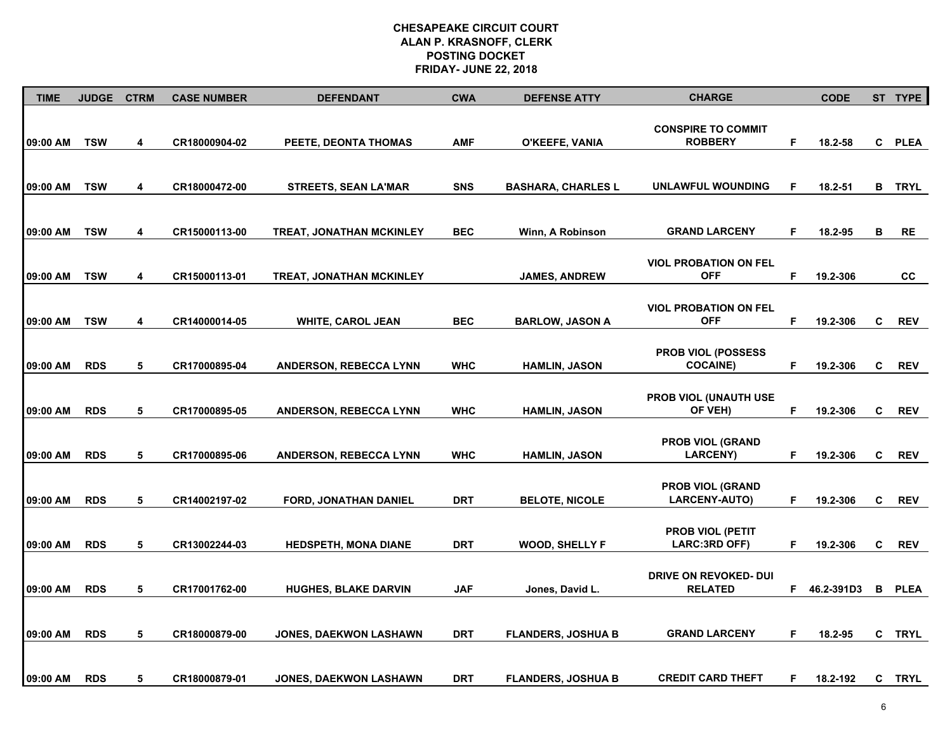| <b>TIME</b> | <b>JUDGE</b> | <b>CTRM</b> | <b>CASE NUMBER</b> | <b>DEFENDANT</b>                | <b>CWA</b> | <b>DEFENSE ATTY</b>       | <b>CHARGE</b>                                   |    | <b>CODE</b>  |   | ST TYPE       |
|-------------|--------------|-------------|--------------------|---------------------------------|------------|---------------------------|-------------------------------------------------|----|--------------|---|---------------|
| 09:00 AM    | <b>TSW</b>   | 4           | CR18000904-02      | PEETE, DEONTA THOMAS            | <b>AMF</b> | O'KEEFE, VANIA            | <b>CONSPIRE TO COMMIT</b><br><b>ROBBERY</b>     | F  | 18.2-58      |   | C PLEA        |
| 09:00 AM    | <b>TSW</b>   | 4           | CR18000472-00      | <b>STREETS, SEAN LA'MAR</b>     | <b>SNS</b> | <b>BASHARA, CHARLES L</b> | UNLAWFUL WOUNDING                               | F  | 18.2-51      |   | <b>B</b> TRYL |
| 09:00 AM    | <b>TSW</b>   | 4           | CR15000113-00      | <b>TREAT, JONATHAN MCKINLEY</b> | <b>BEC</b> | Winn, A Robinson          | <b>GRAND LARCENY</b>                            | F. | 18.2-95      | в | RE            |
| 09:00 AM    | <b>TSW</b>   | 4           | CR15000113-01      | <b>TREAT, JONATHAN MCKINLEY</b> |            | <b>JAMES, ANDREW</b>      | <b>VIOL PROBATION ON FEL</b><br><b>OFF</b>      | F. | 19.2-306     |   | <b>CC</b>     |
| 09:00 AM    | <b>TSW</b>   | 4           | CR14000014-05      | <b>WHITE, CAROL JEAN</b>        | <b>BEC</b> | <b>BARLOW, JASON A</b>    | <b>VIOL PROBATION ON FEL</b><br><b>OFF</b>      | F  | 19.2-306     | C | <b>REV</b>    |
| 09:00 AM    | <b>RDS</b>   | 5           | CR17000895-04      | ANDERSON, REBECCA LYNN          | <b>WHC</b> | <b>HAMLIN, JASON</b>      | <b>PROB VIOL (POSSESS)</b><br><b>COCAINE)</b>   | F  | 19.2-306     | C | <b>REV</b>    |
| 09:00 AM    | <b>RDS</b>   | 5           | CR17000895-05      | <b>ANDERSON, REBECCA LYNN</b>   | <b>WHC</b> | <b>HAMLIN, JASON</b>      | PROB VIOL (UNAUTH USE<br>OF VEH)                | F. | 19.2-306     | C | <b>REV</b>    |
| 09:00 AM    | <b>RDS</b>   | 5           | CR17000895-06      | <b>ANDERSON, REBECCA LYNN</b>   | <b>WHC</b> | <b>HAMLIN, JASON</b>      | <b>PROB VIOL (GRAND</b><br><b>LARCENY)</b>      | F. | 19.2-306     | C | <b>REV</b>    |
| 09:00 AM    | <b>RDS</b>   | 5           | CR14002197-02      | <b>FORD, JONATHAN DANIEL</b>    | <b>DRT</b> | <b>BELOTE, NICOLE</b>     | <b>PROB VIOL (GRAND</b><br><b>LARCENY-AUTO)</b> | F. | 19.2-306     | C | <b>REV</b>    |
| 09:00 AM    | <b>RDS</b>   | 5           | CR13002244-03      | <b>HEDSPETH, MONA DIANE</b>     | <b>DRT</b> | WOOD, SHELLY F            | <b>PROB VIOL (PETIT</b><br>LARC:3RD OFF)        | F  | 19.2-306     | C | <b>REV</b>    |
| 09:00 AM    | <b>RDS</b>   | 5           | CR17001762-00      | <b>HUGHES, BLAKE DARVIN</b>     | <b>JAF</b> | Jones, David L.           | DRIVE ON REVOKED- DUI<br><b>RELATED</b>         |    | F 46.2-391D3 |   | <b>B</b> PLEA |
| 09:00 AM    | <b>RDS</b>   | 5           | CR18000879-00      | <b>JONES, DAEKWON LASHAWN</b>   | <b>DRT</b> | <b>FLANDERS, JOSHUA B</b> | <b>GRAND LARCENY</b>                            | F. | 18.2-95      |   | C TRYL        |
| 09:00 AM    | <b>RDS</b>   | 5           | CR18000879-01      | <b>JONES, DAEKWON LASHAWN</b>   | <b>DRT</b> | <b>FLANDERS, JOSHUA B</b> | <b>CREDIT CARD THEFT</b>                        | F. | 18.2-192     |   | C TRYL        |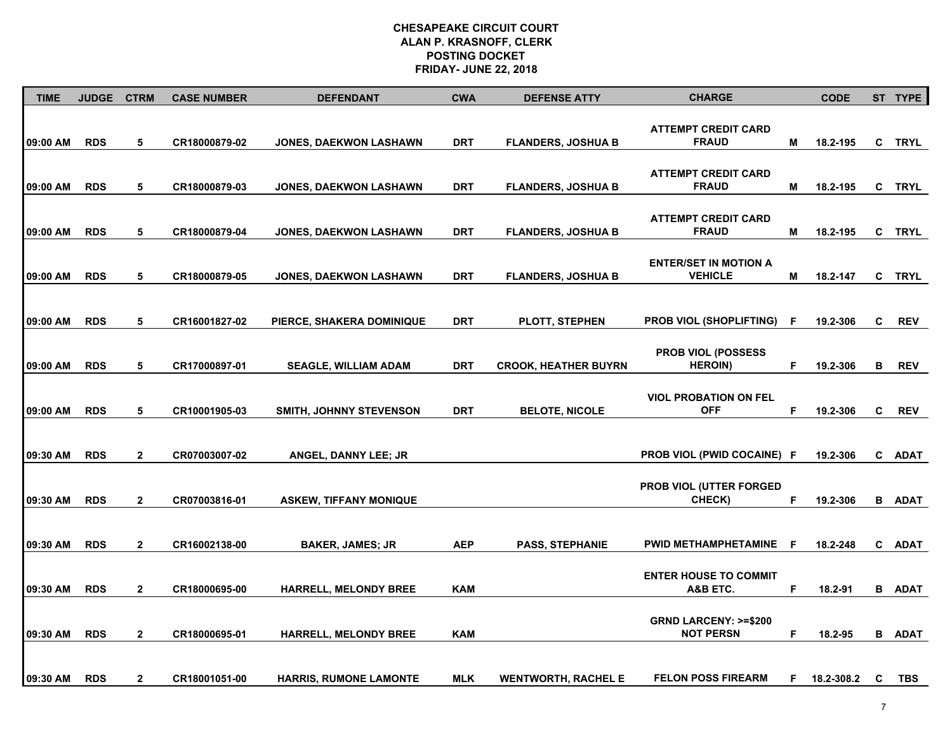| <b>TIME</b> | <b>JUDGE</b> | <b>CTRM</b>    | <b>CASE NUMBER</b> | <b>DEFENDANT</b>              | <b>CWA</b> | <b>DEFENSE ATTY</b>         | <b>CHARGE</b>                                       |     | <b>CODE</b> |   | ST TYPE       |
|-------------|--------------|----------------|--------------------|-------------------------------|------------|-----------------------------|-----------------------------------------------------|-----|-------------|---|---------------|
| 09:00 AM    | <b>RDS</b>   | 5              | CR18000879-02      | JONES, DAEKWON LASHAWN        | <b>DRT</b> | <b>FLANDERS, JOSHUA B</b>   | <b>ATTEMPT CREDIT CARD</b><br><b>FRAUD</b>          | М   | 18.2-195    |   | C TRYL        |
| 09:00 AM    | <b>RDS</b>   | 5              | CR18000879-03      | JONES, DAEKWON LASHAWN        | <b>DRT</b> | <b>FLANDERS, JOSHUA B</b>   | <b>ATTEMPT CREDIT CARD</b><br><b>FRAUD</b>          | М   | 18.2-195    |   | C TRYL        |
| 09:00 AM    | <b>RDS</b>   | 5              | CR18000879-04      | <b>JONES, DAEKWON LASHAWN</b> | <b>DRT</b> | <b>FLANDERS, JOSHUA B</b>   | <b>ATTEMPT CREDIT CARD</b><br><b>FRAUD</b>          | Μ   | 18.2-195    |   | C TRYL        |
| 09:00 AM    | <b>RDS</b>   | 5              | CR18000879-05      | <b>JONES, DAEKWON LASHAWN</b> | <b>DRT</b> | <b>FLANDERS, JOSHUA B</b>   | <b>ENTER/SET IN MOTION A</b><br><b>VEHICLE</b>      | Μ   | 18.2-147    |   | C TRYL        |
| 09:00 AM    | <b>RDS</b>   | 5              | CR16001827-02      | PIERCE, SHAKERA DOMINIQUE     | <b>DRT</b> | <b>PLOTT, STEPHEN</b>       | <b>PROB VIOL (SHOPLIFTING)</b>                      | .F  | 19.2-306    | C | <b>REV</b>    |
| 09:00 AM    | <b>RDS</b>   | 5              | CR17000897-01      | <b>SEAGLE, WILLIAM ADAM</b>   | <b>DRT</b> | <b>CROOK, HEATHER BUYRN</b> | <b>PROB VIOL (POSSESS)</b><br><b>HEROIN)</b>        | F.  | 19.2-306    | В | <b>REV</b>    |
| 09:00 AM    | <b>RDS</b>   | 5              | CR10001905-03      | SMITH, JOHNNY STEVENSON       | <b>DRT</b> | <b>BELOTE, NICOLE</b>       | <b>VIOL PROBATION ON FEL</b><br><b>OFF</b>          | F   | 19.2-306    | C | <b>REV</b>    |
| 09:30 AM    | <b>RDS</b>   | $\mathbf{2}$   | CR07003007-02      | <b>ANGEL, DANNY LEE; JR</b>   |            |                             | <b>PROB VIOL (PWID COCAINE) F</b>                   |     | 19.2-306    |   | C ADAT        |
| 09:30 AM    | <b>RDS</b>   | $\mathbf{2}$   | CR07003816-01      | <b>ASKEW, TIFFANY MONIQUE</b> |            |                             | <b>PROB VIOL (UTTER FORGED)</b><br>CHECK)           | F   | 19.2-306    |   | <b>B</b> ADAT |
| 09:30 AM    | <b>RDS</b>   | $\overline{2}$ | CR16002138-00      | <b>BAKER, JAMES; JR</b>       | <b>AEP</b> | <b>PASS, STEPHANIE</b>      | <b>PWID METHAMPHETAMINE</b>                         | - F | 18.2-248    |   | C ADAT        |
| 09:30 AM    | <b>RDS</b>   | $\overline{2}$ | CR18000695-00      | <b>HARRELL, MELONDY BREE</b>  | <b>KAM</b> |                             | <b>ENTER HOUSE TO COMMIT</b><br>A&B ETC.            | F   | 18.2-91     |   | <b>B</b> ADAT |
| 09:30 AM    | <b>RDS</b>   | $\mathbf{2}$   | CR18000695-01      | HARRELL, MELONDY BREE         | <b>KAM</b> |                             | <b>GRND LARCENY: &gt;=\$200</b><br><b>NOT PERSN</b> | F.  | 18.2-95     |   | <b>B</b> ADAT |
| 09:30 AM    | <b>RDS</b>   | $\mathbf{2}$   | CR18001051-00      | <b>HARRIS, RUMONE LAMONTE</b> | <b>MLK</b> | <b>WENTWORTH, RACHEL E</b>  | <b>FELON POSS FIREARM</b>                           | F.  | 18.2-308.2  | C | TBS           |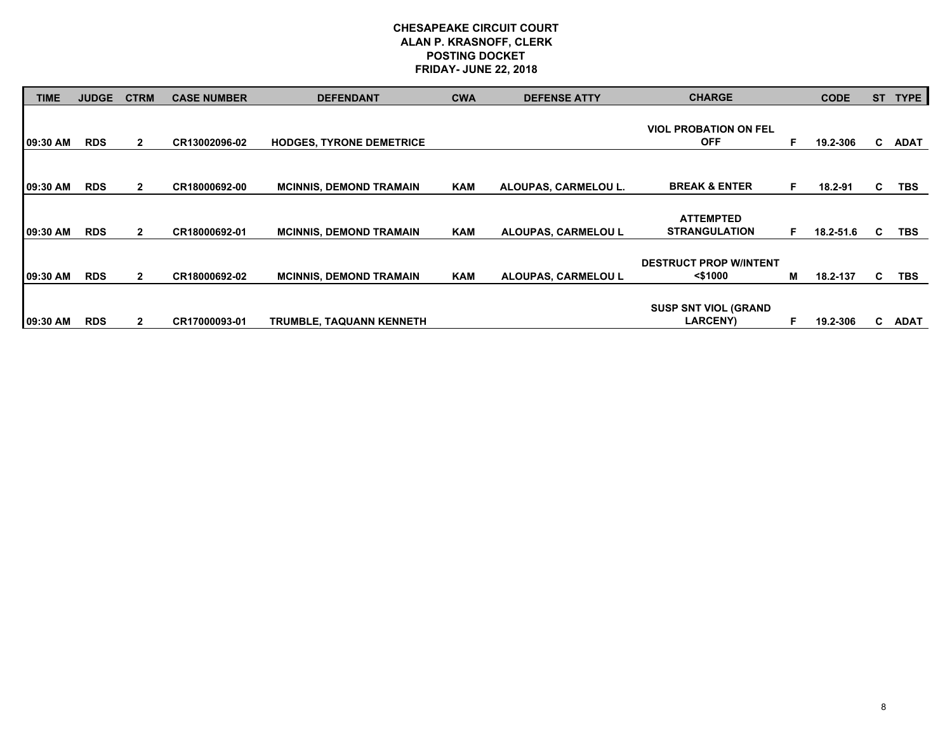| TIME     | <b>JUDGE</b> | <b>CTRM</b>  | <b>CASE NUMBER</b> | <b>DEFENDANT</b>                | <b>CWA</b> | <b>DEFENSE ATTY</b>  | <b>CHARGE</b>                                  |   | <b>CODE</b> | <b>ST</b> | <b>TYPE</b> |
|----------|--------------|--------------|--------------------|---------------------------------|------------|----------------------|------------------------------------------------|---|-------------|-----------|-------------|
|          |              |              |                    |                                 |            |                      | <b>VIOL PROBATION ON FEL</b>                   |   |             |           |             |
| 09:30 AM | <b>RDS</b>   | $\mathbf{2}$ | CR13002096-02      | <b>HODGES, TYRONE DEMETRICE</b> |            |                      | <b>OFF</b>                                     | E | 19.2-306    | C.        | <b>ADAT</b> |
|          |              |              |                    |                                 |            |                      |                                                |   |             |           |             |
| 09:30 AM | <b>RDS</b>   | $\mathbf{2}$ | CR18000692-00      | <b>MCINNIS, DEMOND TRAMAIN</b>  | <b>KAM</b> | ALOUPAS, CARMELOU L. | <b>BREAK &amp; ENTER</b>                       | E | 18.2-91     | C         | <b>TBS</b>  |
|          |              |              |                    |                                 |            |                      |                                                |   |             |           |             |
| 09:30 AM | <b>RDS</b>   | $\mathbf{2}$ | CR18000692-01      | <b>MCINNIS, DEMOND TRAMAIN</b>  | <b>KAM</b> | ALOUPAS, CARMELOU L  | <b>ATTEMPTED</b><br><b>STRANGULATION</b>       | E | 18.2-51.6   | C         | <b>TBS</b>  |
|          |              |              |                    |                                 |            |                      |                                                |   |             |           |             |
| 09:30 AM | <b>RDS</b>   | $\mathbf{2}$ | CR18000692-02      | <b>MCINNIS, DEMOND TRAMAIN</b>  | <b>KAM</b> | ALOUPAS, CARMELOU L  | <b>DESTRUCT PROP W/INTENT</b><br>$<$ \$1000    | М | 18.2-137    | C.        | <b>TBS</b>  |
|          |              |              |                    |                                 |            |                      |                                                |   |             |           |             |
| 09:30 AM | <b>RDS</b>   | $\mathbf{2}$ | CR17000093-01      | <b>TRUMBLE, TAQUANN KENNETH</b> |            |                      | <b>SUSP SNT VIOL (GRAND</b><br><b>LARCENY)</b> |   | 19.2-306    | C.        | <b>ADAT</b> |